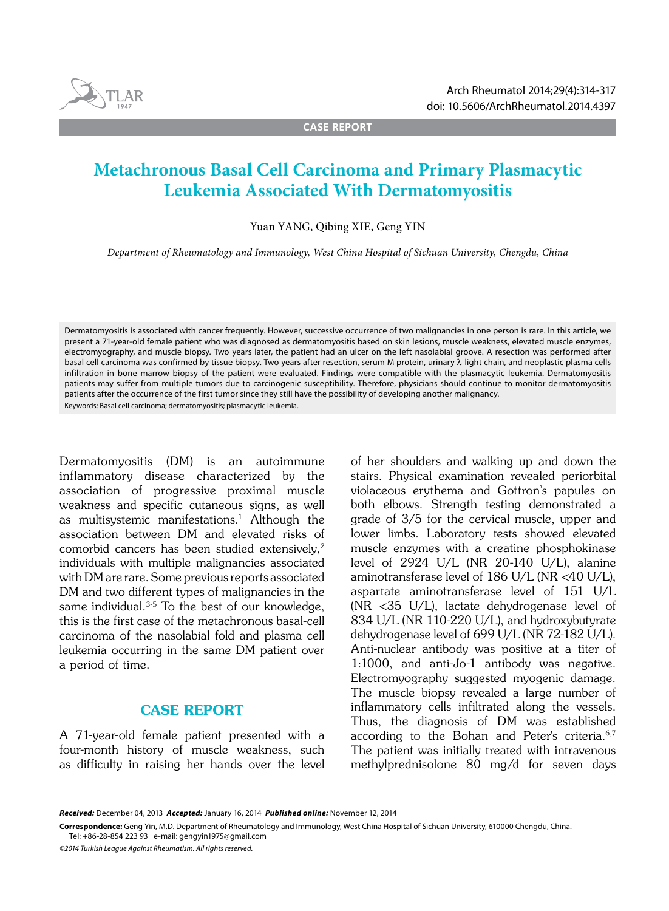

**CASE REPORT**

# **Metachronous Basal Cell Carcinoma and Primary Plasmacytic Leukemia Associated With Dermatomyositis**

Yuan YANG, Qibing XIE, Geng YIN

*Department of Rheumatology and Immunology, West China Hospital of Sichuan University, Chengdu, China*

Dermatomyositis is associated with cancer frequently. However, successive occurrence of two malignancies in one person is rare. In this article, we present a 71-year-old female patient who was diagnosed as dermatomyositis based on skin lesions, muscle weakness, elevated muscle enzymes, electromyography, and muscle biopsy. Two years later, the patient had an ulcer on the left nasolabial groove. A resection was performed after basal cell carcinoma was confirmed by tissue biopsy. Two years after resection, serum M protein, urinary  $\lambda$  light chain, and neoplastic plasma cells infiltration in bone marrow biopsy of the patient were evaluated. Findings were compatible with the plasmacytic leukemia. Dermatomyositis patients may suffer from multiple tumors due to carcinogenic susceptibility. Therefore, physicians should continue to monitor dermatomyositis patients after the occurrence of the first tumor since they still have the possibility of developing another malignancy. Keywords: Basal cell carcinoma; dermatomyositis; plasmacytic leukemia.

Dermatomyositis (DM) is an autoimmune inflammatory disease characterized by the association of progressive proximal muscle weakness and specific cutaneous signs, as well as multisystemic manifestations.<sup>1</sup> Although the association between DM and elevated risks of comorbid cancers has been studied extensively,2 individuals with multiple malignancies associated with DM are rare. Some previous reports associated DM and two different types of malignancies in the same individual.<sup>3-5</sup> To the best of our knowledge, this is the first case of the metachronous basal-cell carcinoma of the nasolabial fold and plasma cell leukemia occurring in the same DM patient over a period of time.

## CASE REPORT

A 71-year-old female patient presented with a four-month history of muscle weakness, such as difficulty in raising her hands over the level of her shoulders and walking up and down the stairs. Physical examination revealed periorbital violaceous erythema and Gottron's papules on both elbows. Strength testing demonstrated a grade of 3/5 for the cervical muscle, upper and lower limbs. Laboratory tests showed elevated muscle enzymes with a creatine phosphokinase level of 2924 U/L (NR 20-140 U/L), alanine aminotransferase level of 186 U/L (NR <40 U/L), aspartate aminotransferase level of 151 U/L (NR <35 U/L), lactate dehydrogenase level of 834 U/L (NR 110-220 U/L), and hydroxybutyrate dehydrogenase level of 699 U/L (NR 72-182 U/L). Anti-nuclear antibody was positive at a titer of 1:1000, and anti-Jo-1 antibody was negative. Electromyography suggested myogenic damage. The muscle biopsy revealed a large number of inflammatory cells infiltrated along the vessels. Thus, the diagnosis of DM was established according to the Bohan and Peter's criteria.6,7 The patient was initially treated with intravenous methylprednisolone 80 mg/d for seven days

*Received:* December 04, 2013 *Accepted:* January 16, 2014 *Published online:* November 12, 2014

**Correspondence:** Geng Yin, M.D. Department of Rheumatology and Immunology, West China Hospital of Sichuan University, 610000 Chengdu, China. Tel: +86-28-854 223 93 e-mail: gengyin1975@gmail.com

*©2014 Turkish League Against Rheumatism. All rights reserved.*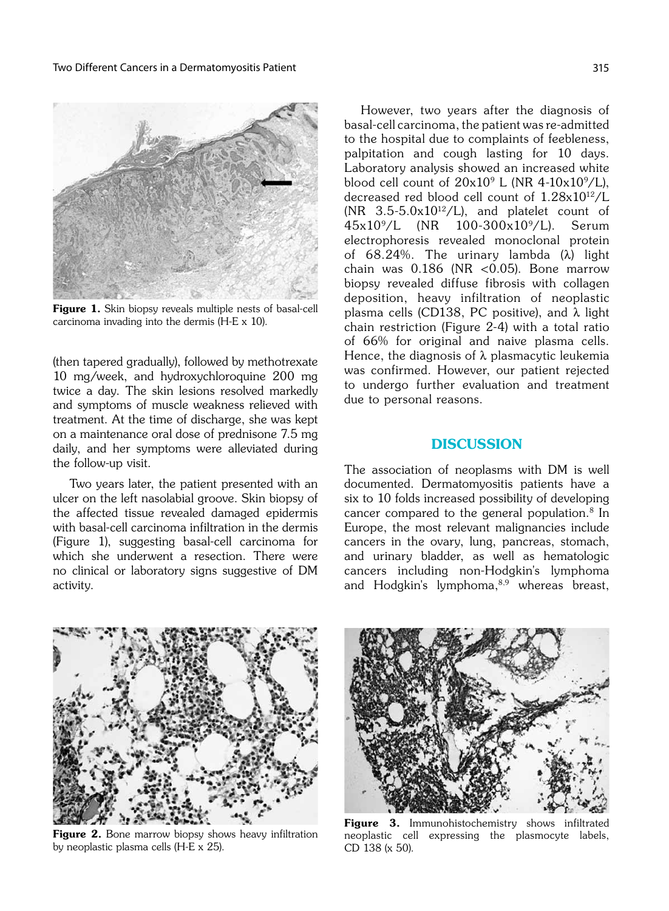

Figure 1. Skin biopsy reveals multiple nests of basal-cell carcinoma invading into the dermis (H-E x 10).

(then tapered gradually), followed by methotrexate 10 mg/week, and hydroxychloroquine 200 mg twice a day. The skin lesions resolved markedly and symptoms of muscle weakness relieved with treatment. At the time of discharge, she was kept on a maintenance oral dose of prednisone 7.5 mg daily, and her symptoms were alleviated during the follow-up visit.

Two years later, the patient presented with an ulcer on the left nasolabial groove. Skin biopsy of the affected tissue revealed damaged epidermis with basal-cell carcinoma infiltration in the dermis (Figure 1), suggesting basal-cell carcinoma for which she underwent a resection. There were no clinical or laboratory signs suggestive of DM activity.

However, two years after the diagnosis of basal-cell carcinoma, the patient was re-admitted to the hospital due to complaints of feebleness, palpitation and cough lasting for 10 days. Laboratory analysis showed an increased white blood cell count of  $20x10^9$  L (NR 4-10x10<sup>9</sup>/L), decreased red blood cell count of 1.28x1012/L (NR  $3.5-5.0x10^{12}$ /L), and platelet count of 45x109/L (NR 100-300x109/L). Serum electrophoresis revealed monoclonal protein of  $68.24\%$ . The urinary lambda  $(\lambda)$  light chain was  $0.186$  (NR <  $0.05$ ). Bone marrow biopsy revealed diffuse fibrosis with collagen deposition, heavy infiltration of neoplastic plasma cells (CD138, PC positive), and  $\lambda$  light chain restriction (Figure 2-4) with a total ratio of 66% for original and naive plasma cells. Hence, the diagnosis of  $\lambda$  plasmacytic leukemia was confirmed. However, our patient rejected to undergo further evaluation and treatment due to personal reasons.

## **DISCUSSION**

The association of neoplasms with DM is well documented. Dermatomyositis patients have a six to 10 folds increased possibility of developing cancer compared to the general population.8 In Europe, the most relevant malignancies include cancers in the ovary, lung, pancreas, stomach, and urinary bladder, as well as hematologic cancers including non-Hodgkin's lymphoma and Hodgkin's lymphoma,<sup>8,9</sup> whereas breast,



Figure 2. Bone marrow biopsy shows heavy infiltration by neoplastic plasma cells (H-E x 25).



Figure 3. Immunohistochemistry shows infiltrated neoplastic cell expressing the plasmocyte labels, CD 138 (x 50).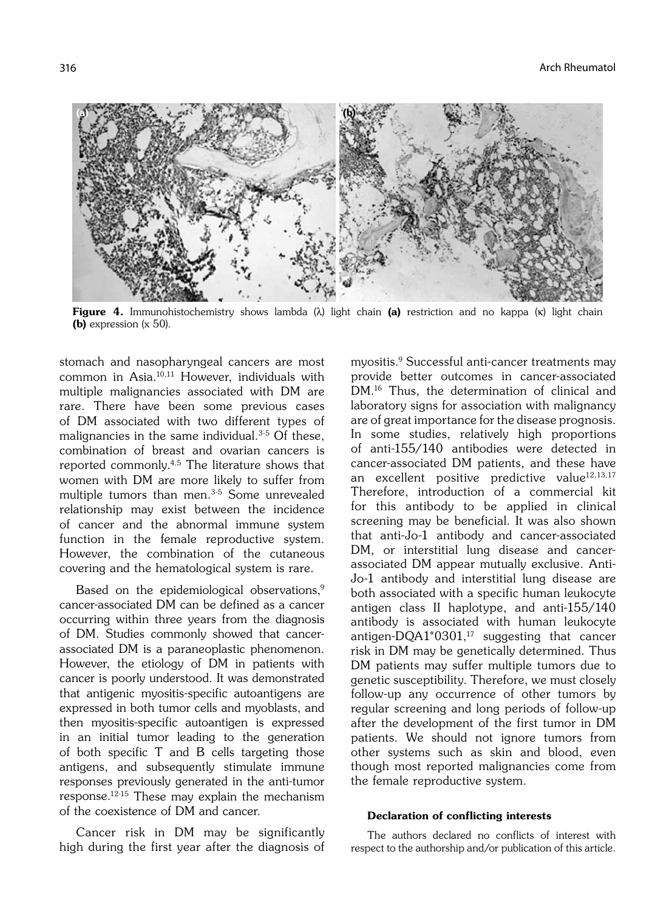

**Figure 4.** Immunohistochemistry shows lambda  $(\lambda)$  light chain (a) restriction and no kappa (k) light chain (b) expression (x 50).

stomach and nasopharyngeal cancers are most common in Asia.10,11 However, individuals with multiple malignancies associated with DM are rare. There have been some previous cases of DM associated with two different types of malignancies in the same individual.<sup>3-5</sup> Of these, combination of breast and ovarian cancers is reported commonly.4,5 The literature shows that women with DM are more likely to suffer from multiple tumors than men.3-5 Some unrevealed relationship may exist between the incidence of cancer and the abnormal immune system function in the female reproductive system. However, the combination of the cutaneous covering and the hematological system is rare.

Based on the epidemiological observations,<sup>9</sup> cancer-associated DM can be defined as a cancer occurring within three years from the diagnosis of DM. Studies commonly showed that cancerassociated DM is a paraneoplastic phenomenon. However, the etiology of DM in patients with cancer is poorly understood. It was demonstrated that antigenic myositis-specific autoantigens are expressed in both tumor cells and myoblasts, and then myositis-specific autoantigen is expressed in an initial tumor leading to the generation of both specific T and B cells targeting those antigens, and subsequently stimulate immune responses previously generated in the anti-tumor response.12-15 These may explain the mechanism of the coexistence of DM and cancer.

Cancer risk in DM may be significantly high during the first year after the diagnosis of myositis.9 Successful anti-cancer treatments may provide better outcomes in cancer-associated DM.16 Thus, the determination of clinical and laboratory signs for association with malignancy are of great importance for the disease prognosis. In some studies, relatively high proportions of anti-155/140 antibodies were detected in cancer-associated DM patients, and these have an excellent positive predictive value<sup>12,13,17</sup> Therefore, introduction of a commercial kit for this antibody to be applied in clinical screening may be beneficial. It was also shown that anti-Jo-1 antibody and cancer-associated DM, or interstitial lung disease and cancerassociated DM appear mutually exclusive. Anti-Jo-1 antibody and interstitial lung disease are both associated with a specific human leukocyte antigen class II haplotype, and anti-155/140 antibody is associated with human leukocyte antigen-DQA1\*0301,<sup>17</sup> suggesting that cancer risk in DM may be genetically determined. Thus DM patients may suffer multiple tumors due to genetic susceptibility. Therefore, we must closely follow-up any occurrence of other tumors by regular screening and long periods of follow-up after the development of the first tumor in DM patients. We should not ignore tumors from other systems such as skin and blood, even though most reported malignancies come from the female reproductive system.

#### Declaration of conflicting interests

The authors declared no conflicts of interest with respect to the authorship and/or publication of this article.